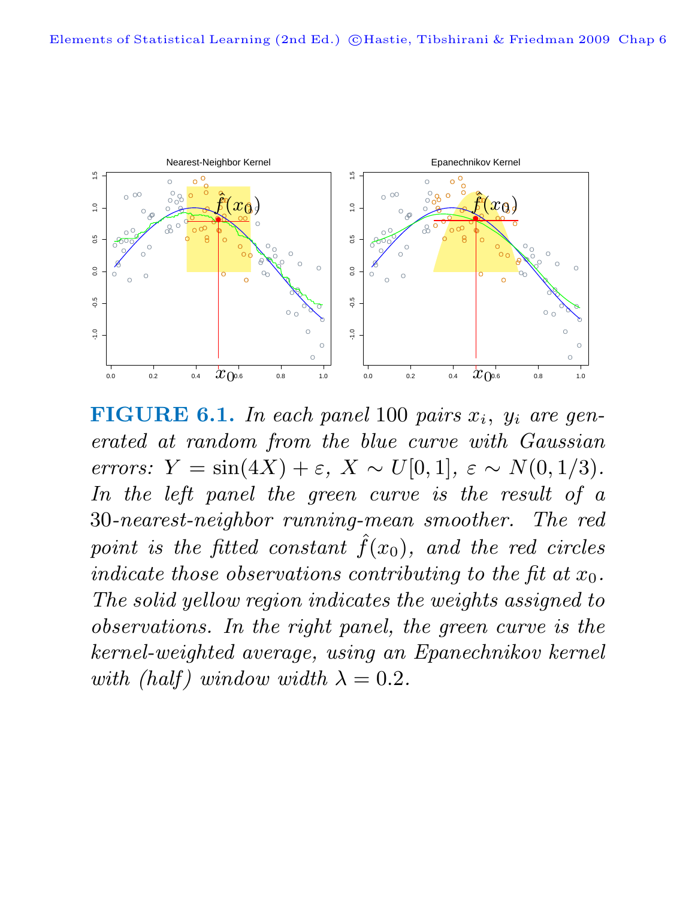

**FIGURE 6.1.** In each panel 100 pairs  $x_i$ ,  $y_i$  are generated at random from the blue curve with Gaussian errors:  $Y = \sin(4X) + \varepsilon$ ,  $X \sim U[0, 1]$ ,  $\varepsilon \sim N(0, 1/3)$ . In the left panel the green curve is the result of a 30-nearest-neighbor running-mean smoother. The red point is the fitted constant  $\hat{f}(x_0)$ , and the red circles indicate those observations contributing to the fit at  $x_0$ . The solid yellow region indicates the weights assigned to observations. In the right panel, the green curve is the kernel-weighted average, using an Epanechnikov kernel with (half) window width  $\lambda = 0.2$ .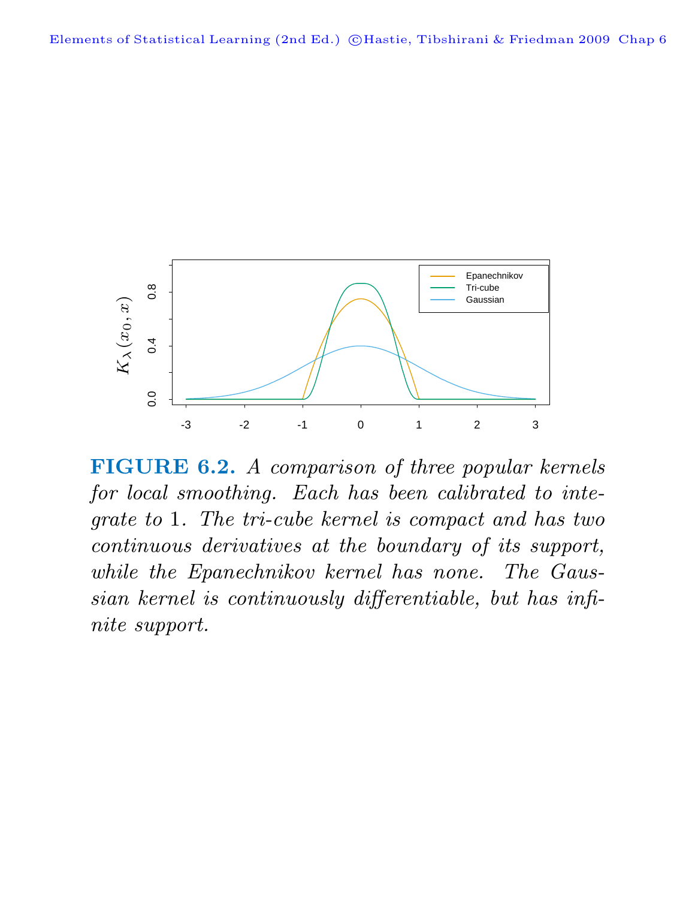

**FIGURE 6.2.** A comparison of three popular kernels for local smoothing. Each has been calibrated to integrate to 1. The tri-cube kernel is compact and has two continuous derivatives at the boundary of its support, while the Epanechnikov kernel has none. The Gaussian kernel is continuously differentiable, but has infinite support.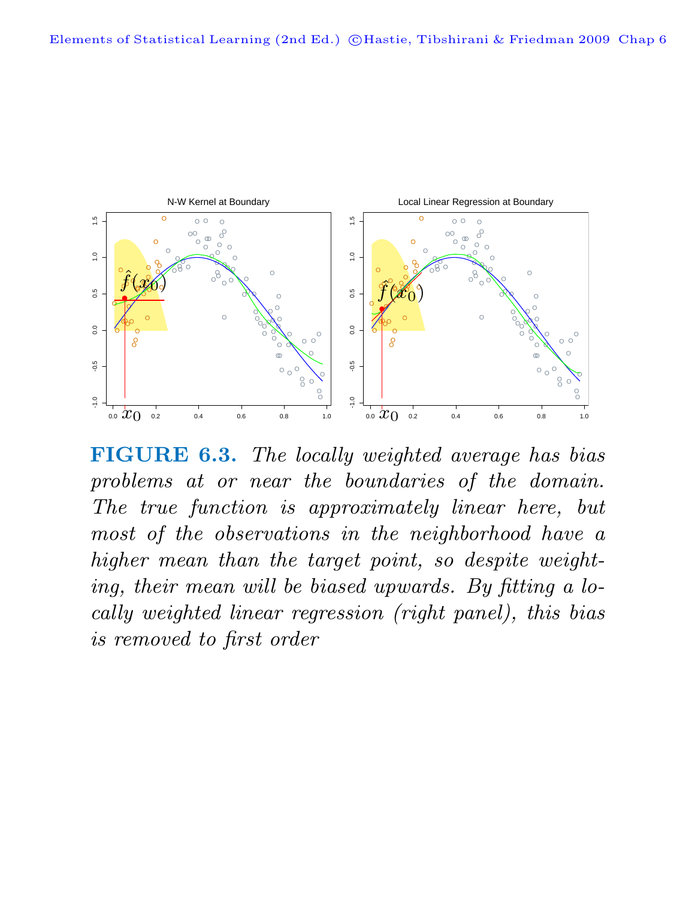

**FIGURE 6.3.** The locally weighted average has bias problems at or near the boundaries of the domain. The true function is approximately linear here, but most of the observations in the neighborhood have a higher mean than the target point, so despite weighting, their mean will be biased upwards. By fitting a locally weighted linear regression (right panel), this bias is removed to first order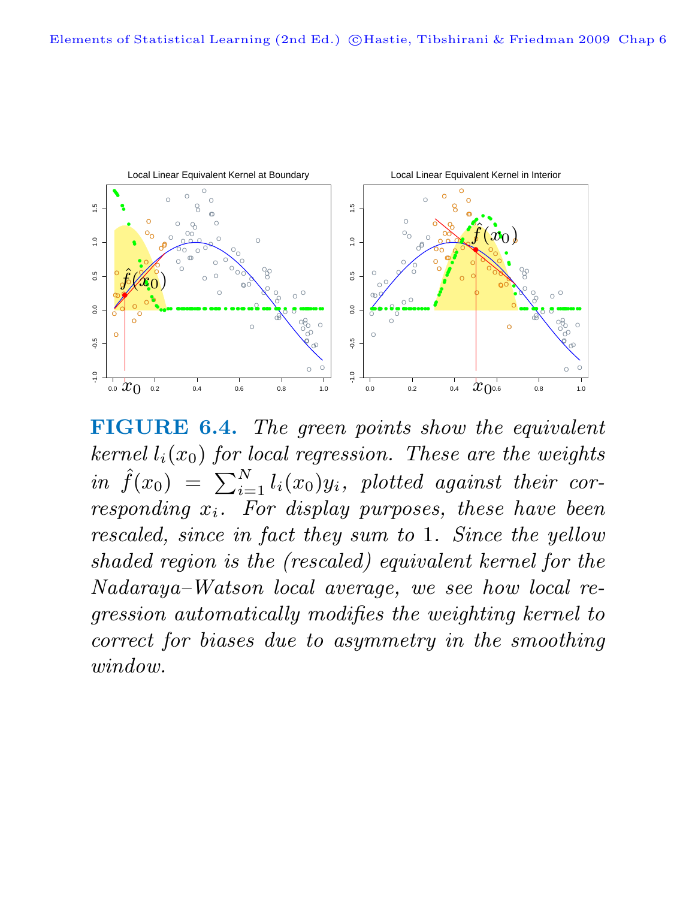

**FIGURE 6.4.** The green points show the equivalent kernel  $l_i(x_0)$  for local regression. These are the weights  $in \ \hat{f}(x_0) = \sum_{i=1}^{N} l_i(x_0) y_i$ , plotted against their corresponding  $x_i$ . For display purposes, these have been rescaled, since in fact they sum to 1. Since the yellow shaded region is the (rescaled) equivalent kernel for the Nadaraya–Watson local average, we see how local regression automatically modifies the weighting kernel to correct for biases due to asymmetry in the smoothing window.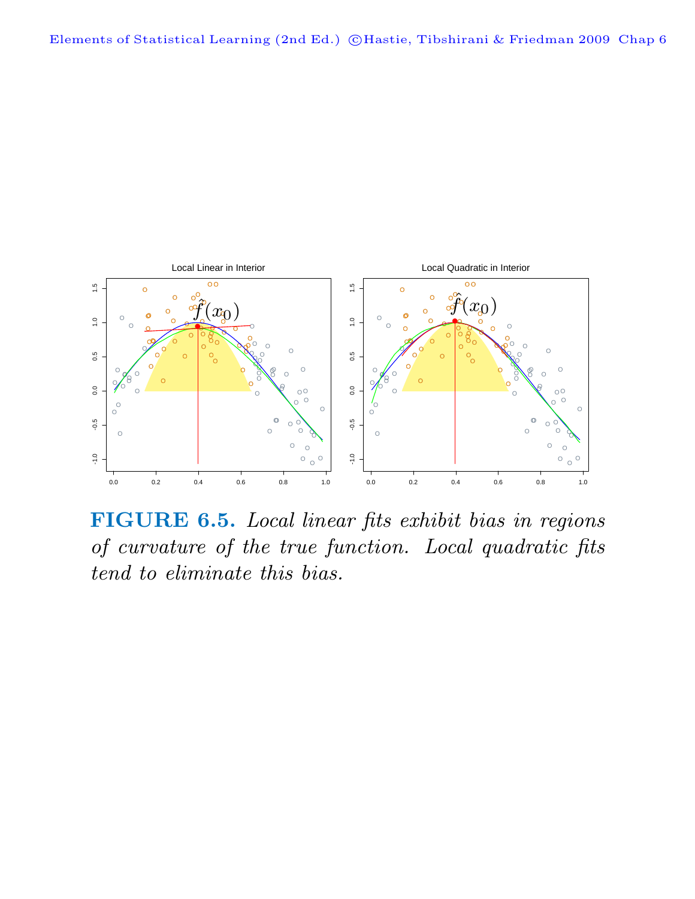

**FIGURE 6.5.** Local linear fits exhibit bias in regions of curvature of the true function. Local quadratic fits tend to eliminate this bias.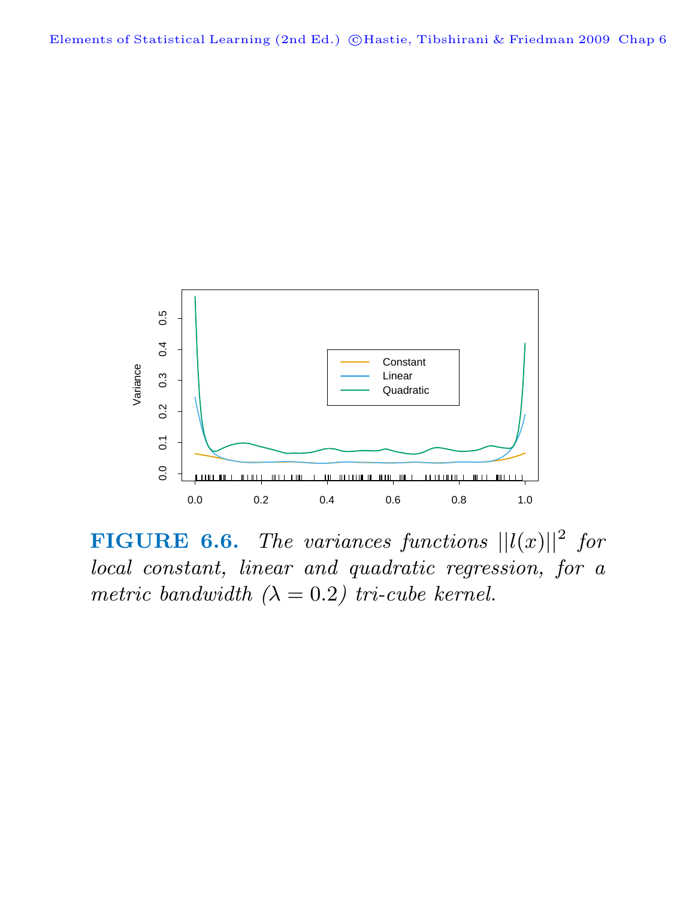

**FIGURE 6.6.** The variances functions  $||l(x)||^2$  for local constant, linear and quadratic regression, for a metric bandwidth  $(\lambda = 0.2)$  tri-cube kernel.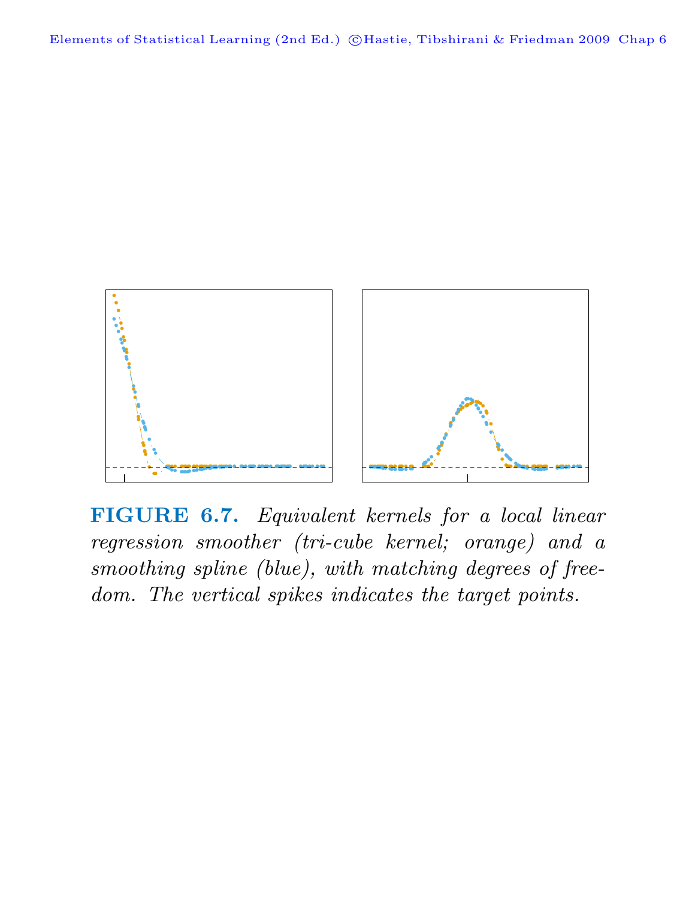

**FIGURE 6.7.** Equivalent kernels for a local linear regression smoother (tri-cube kernel; orange) and a smoothing spline (blue), with matching degrees of freedom. The vertical spikes indicates the target points.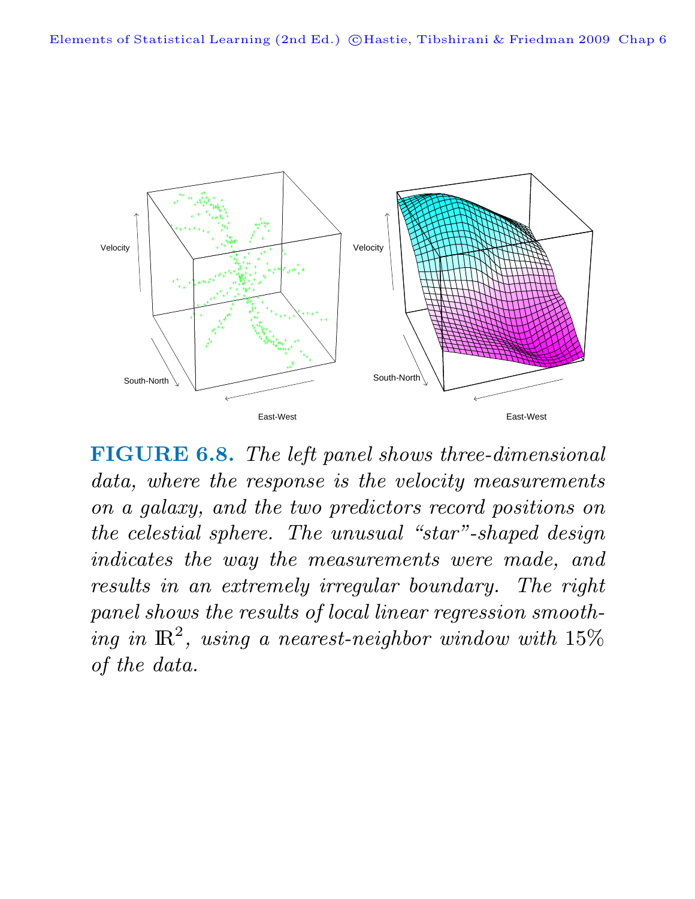

**FIGURE 6.8.** The left panel shows three-dimensional data, where the response is the velocity measurements on a galaxy, and the two predictors record positions on the celestial sphere. The unusual "star"-shaped design indicates the way the measurements were made, and results in an extremely irregular boundary. The right panel shows the results of local linear regression smoothing in  $\mathbb{R}^2$ , using a nearest-neighbor window with 15% of the data.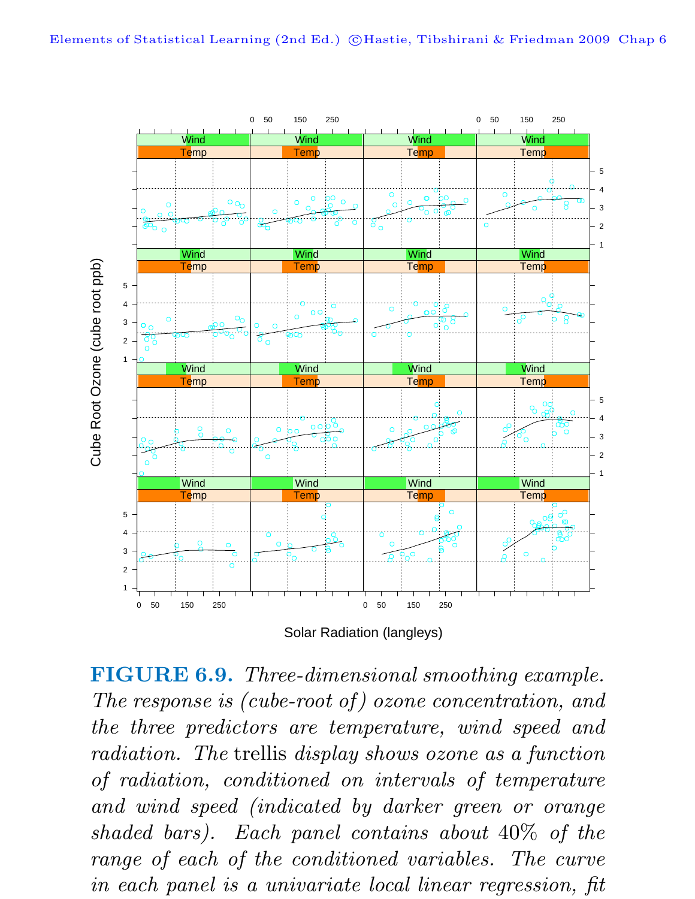

Solar Radiation (langleys)

**FIGURE 6.9.** Three-dimensional smoothing example. The response is (cube-root of) ozone concentration, and the three predictors are temperature, wind speed and radiation. The trellis display shows ozone as a function of radiation, conditioned on intervals of temperature and wind speed (indicated by darker green or orange shaded bars). Each panel contains about 40% of the range of each of the conditioned variables. The curve in each panel is a univariate local linear regression, fit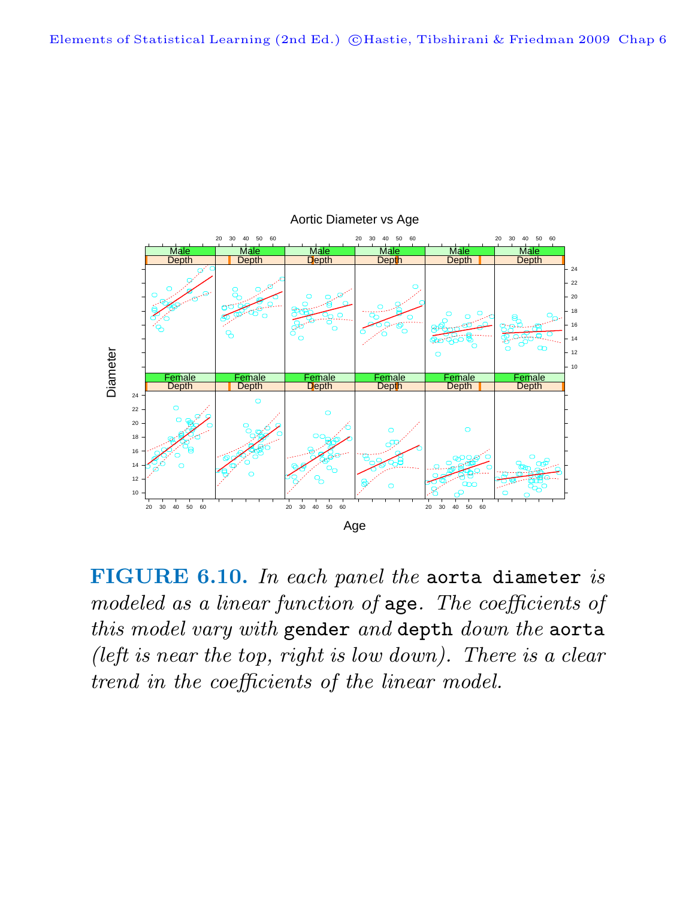

Aortic Diameter vs Age

**FIGURE 6.10.** In each panel the aorta diameter is modeled as a linear function of age. The coefficients of this model vary with gender and depth down the aorta (left is near the top, right is low down). There is a clear trend in the coefficients of the linear model.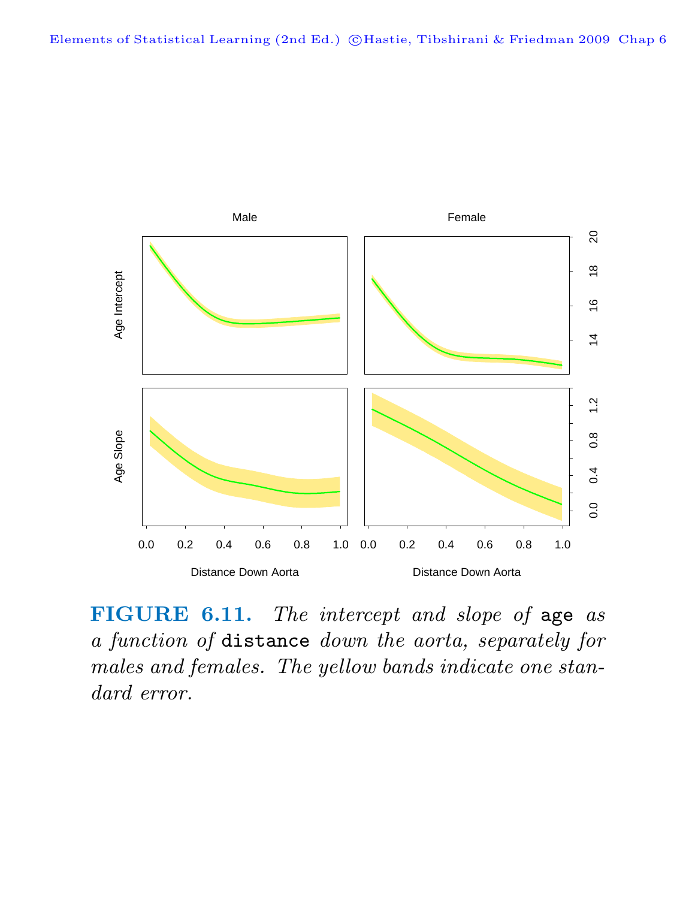

**FIGURE 6.11.** The intercept and slope of age as a function of distance down the aorta, separately for males and females. The yellow bands indicate one standard error.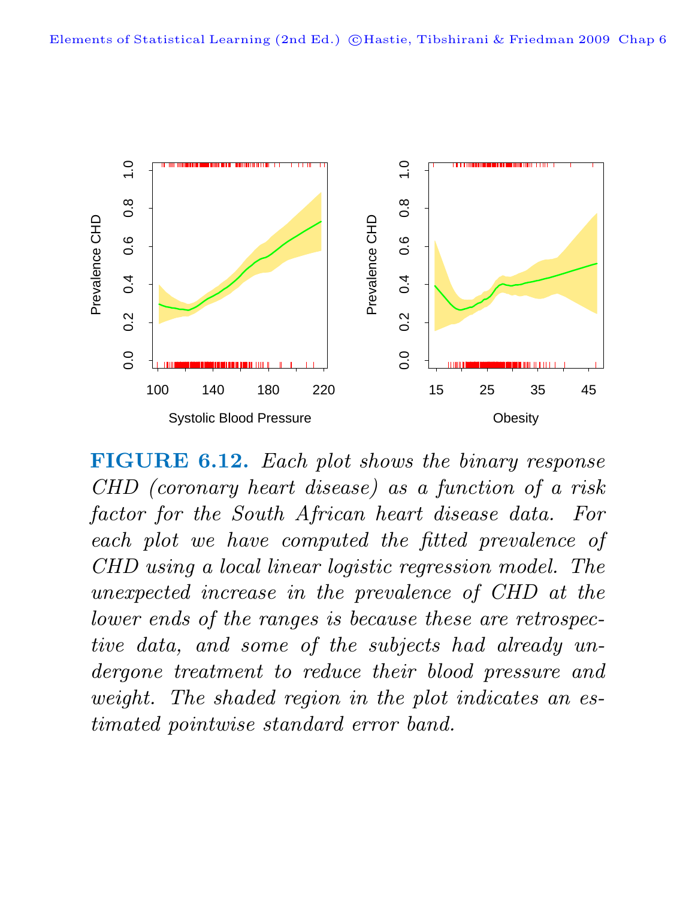

**FIGURE 6.12.** Each plot shows the binary response CHD (coronary heart disease) as a function of a risk factor for the South African heart disease data. For each plot we have computed the fitted prevalence of CHD using a local linear logistic regression model. The unexpected increase in the prevalence of CHD at the lower ends of the ranges is because these are retrospective data, and some of the subjects had already undergone treatment to reduce their blood pressure and weight. The shaded region in the plot indicates an estimated pointwise standard error band.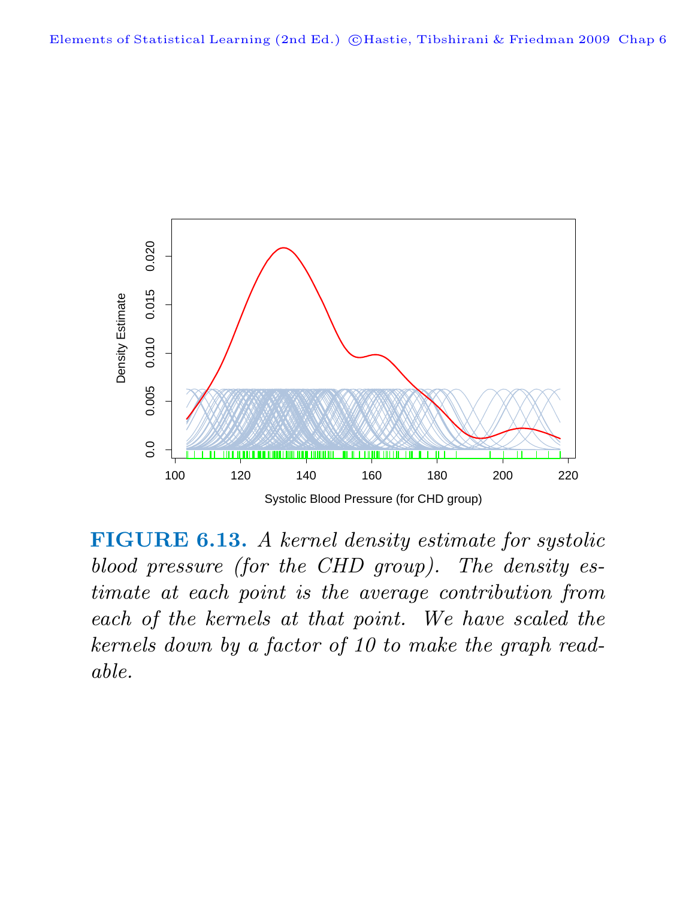

**FIGURE 6.13.** A kernel density estimate for systolic blood pressure (for the CHD group). The density estimate at each point is the average contribution from each of the kernels at that point. We have scaled the kernels down by a factor of 10 to make the graph readable.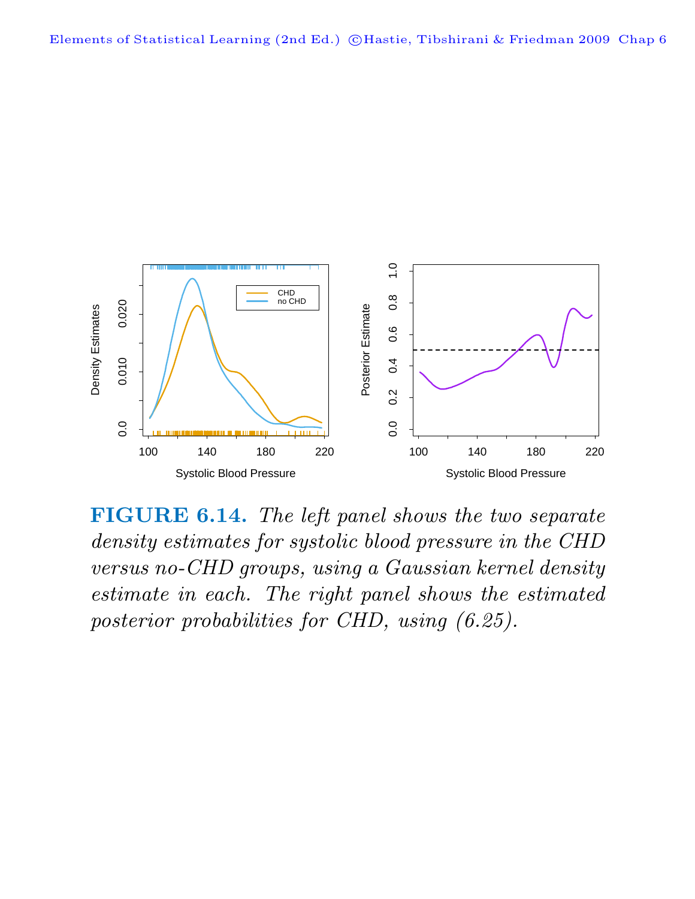

**FIGURE 6.14.** The left panel shows the two separate density estimates for systolic blood pressure in the CHD versus no-CHD groups, using a Gaussian kernel density estimate in each. The right panel shows the estimated posterior probabilities for CHD, using (6.25).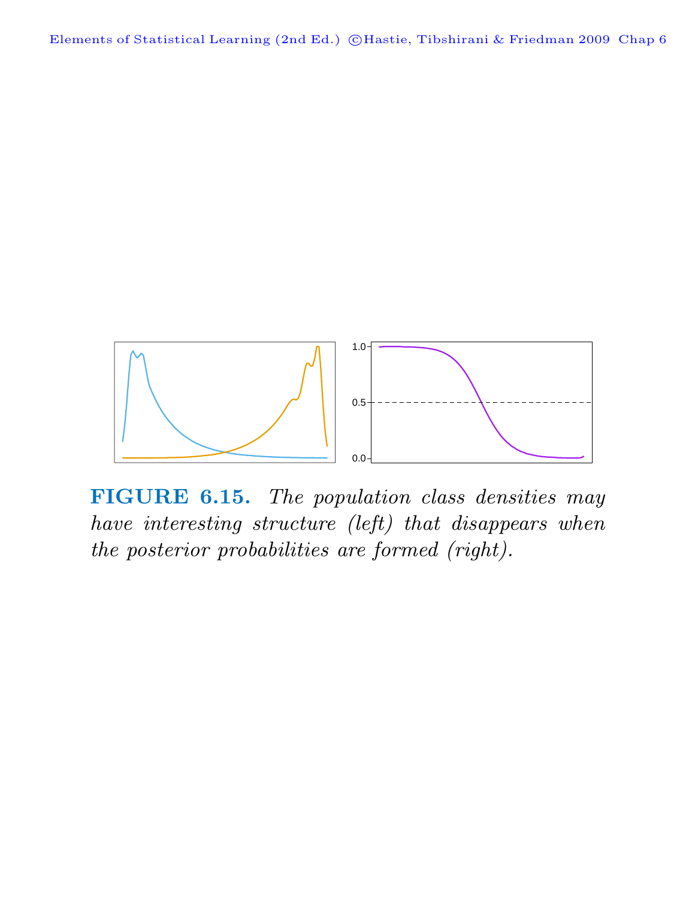Elements of Statistical Learning (2nd Ed.) ©Hastie, Tibshirani & Friedman 2009 Chap 6



**FIGURE 6.15.** The population class densities may have interesting structure (left) that disappears when the posterior probabilities are formed (right).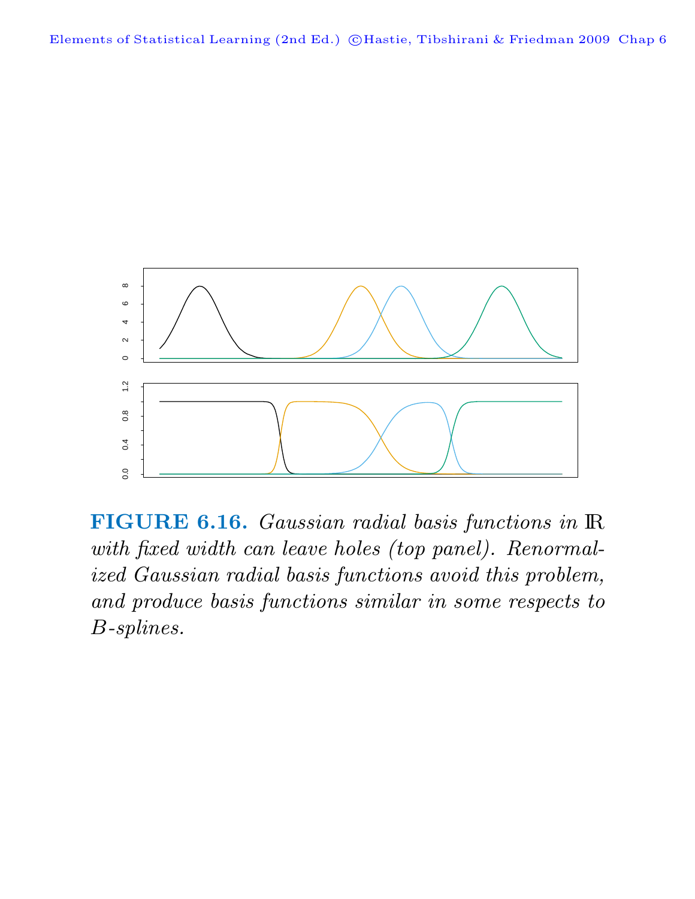

**FIGURE 6.16.** Gaussian radial basis functions in IR with fixed width can leave holes (top panel). Renormalized Gaussian radial basis functions avoid this problem, and produce basis functions similar in some respects to B-splines.